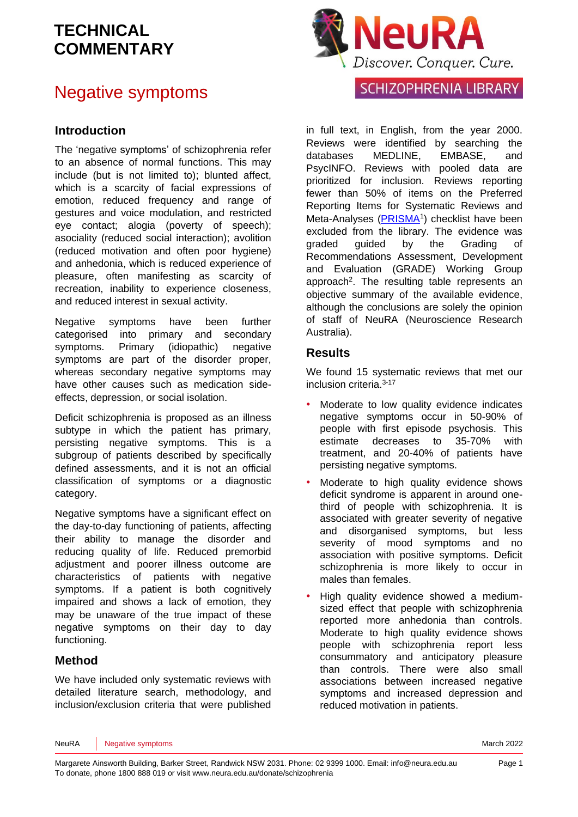### Negative symptoms

#### **Introduction**

The 'negative symptoms' of schizophrenia refer to an absence of normal functions. This may include (but is not limited to); blunted affect, which is a scarcity of facial expressions of emotion, reduced frequency and range of gestures and voice modulation, and restricted eye contact; alogia (poverty of speech); asociality (reduced social interaction); avolition (reduced motivation and often poor hygiene) and anhedonia, which is reduced experience of pleasure, often manifesting as scarcity of recreation, inability to experience closeness, and reduced interest in sexual activity.

Negative symptoms have been further categorised into primary and secondary symptoms. Primary (idiopathic) negative symptoms are part of the disorder proper, whereas secondary negative symptoms may have other causes such as medication sideeffects, depression, or social isolation.

Deficit schizophrenia is proposed as an illness subtype in which the patient has primary, persisting negative symptoms. This is a subgroup of patients described by specifically defined assessments, and it is not an official classification of symptoms or a diagnostic category.

Negative symptoms have a significant effect on the day-to-day functioning of patients, affecting their ability to manage the disorder and reducing quality of life. Reduced premorbid adjustment and poorer illness outcome are characteristics of patients with negative symptoms. If a patient is both cognitively impaired and shows a lack of emotion, they may be unaware of the true impact of these negative symptoms on their day to day functioning.

#### **Method**

We have included only systematic reviews with detailed literature search, methodology, and inclusion/exclusion criteria that were published



### SCHIZOPHRENIA LIBRARY

in full text, in English, from the year 2000. Reviews were identified by searching the databases MEDLINE, EMBASE, and PsycINFO. Reviews with pooled data are prioritized for inclusion. Reviews reporting fewer than 50% of items on the Preferred Reporting Items for Systematic Reviews and Meta-Analyses [\(PRISMA](http://www.prisma-statement.org/)<sup>1</sup>) checklist have been excluded from the library. The evidence was graded guided by the Grading of Recommendations Assessment, Development and Evaluation [\(GRADE\)](http://www.gradeworkinggroup.org/) Working Group approach<sup>[2](#page-19-1)</sup>. The resulting table represents an objective summary of the available evidence, although the conclusions are solely the opinion of staff of NeuRA (Neuroscience Research Australia).

#### **Results**

We found 15 systematic reviews that met our inclusion criteria. [3-17](#page-19-2)

- Moderate to low quality evidence indicates negative symptoms occur in 50-90% of people with first episode psychosis. This estimate decreases to 35-70% with treatment, and 20-40% of patients have persisting negative symptoms.
- Moderate to high quality evidence shows deficit syndrome is apparent in around onethird of people with schizophrenia. It is associated with greater severity of negative and disorganised symptoms, but less severity of mood symptoms and no association with positive symptoms. Deficit schizophrenia is more likely to occur in males than females.
- High quality evidence showed a mediumsized effect that people with schizophrenia reported more anhedonia than controls. Moderate to high quality evidence shows people with schizophrenia report less consummatory and anticipatory pleasure than controls. There were also small associations between increased negative symptoms and increased depression and reduced motivation in patients.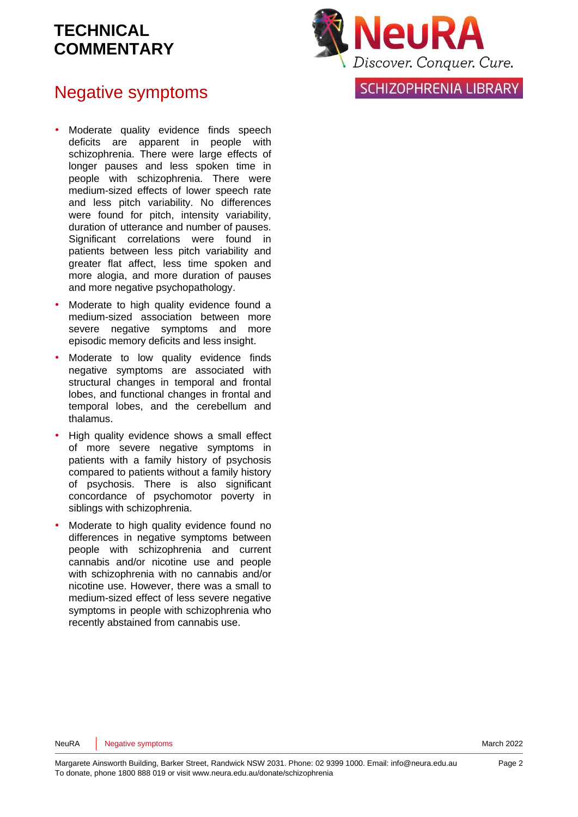### Negative symptoms

- Moderate quality evidence finds speech deficits are apparent in people with schizophrenia. There were large effects of longer pauses and less spoken time in people with schizophrenia. There were medium-sized effects of lower speech rate and less pitch variability. No differences were found for pitch, intensity variability, duration of utterance and number of pauses. Significant correlations were found in patients between less pitch variability and greater flat affect, less time spoken and more alogia, and more duration of pauses and more negative psychopathology.
- Moderate to high quality evidence found a medium-sized association between more severe negative symptoms and more episodic memory deficits and less insight.
- Moderate to low quality evidence finds negative symptoms are associated with structural changes in temporal and frontal lobes, and functional changes in frontal and temporal lobes, and the cerebellum and thalamus.
- High quality evidence shows a small effect of more severe negative symptoms in patients with a family history of psychosis compared to patients without a family history of psychosis. There is also significant concordance of psychomotor poverty in siblings with schizophrenia.
- Moderate to high quality evidence found no differences in negative symptoms between people with schizophrenia and current cannabis and/or nicotine use and people with schizophrenia with no cannabis and/or nicotine use. However, there was a small to medium-sized effect of less severe negative symptoms in people with schizophrenia who recently abstained from cannabis use.



### **SCHIZOPHRENIA LIBRARY**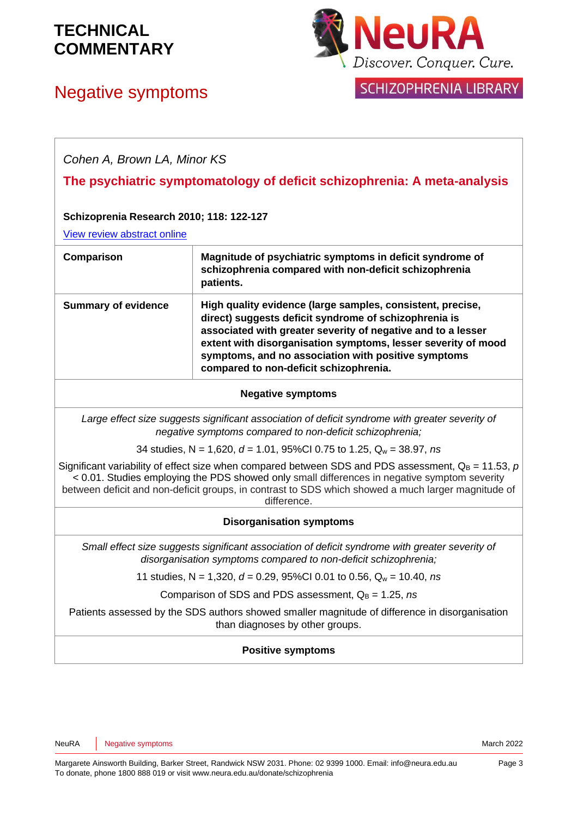



SCHIZOPHRENIA LIBRARY

| Cohen A, Brown LA, Minor KS                                                |                                                                                                                                                                                                                                                                                                                                                       |  |
|----------------------------------------------------------------------------|-------------------------------------------------------------------------------------------------------------------------------------------------------------------------------------------------------------------------------------------------------------------------------------------------------------------------------------------------------|--|
|                                                                            | The psychiatric symptomatology of deficit schizophrenia: A meta-analysis                                                                                                                                                                                                                                                                              |  |
| Schizoprenia Research 2010; 118: 122-127                                   |                                                                                                                                                                                                                                                                                                                                                       |  |
| View review abstract online                                                |                                                                                                                                                                                                                                                                                                                                                       |  |
| Comparison                                                                 | Magnitude of psychiatric symptoms in deficit syndrome of<br>schizophrenia compared with non-deficit schizophrenia<br>patients.                                                                                                                                                                                                                        |  |
| <b>Summary of evidence</b>                                                 | High quality evidence (large samples, consistent, precise,<br>direct) suggests deficit syndrome of schizophrenia is<br>associated with greater severity of negative and to a lesser<br>extent with disorganisation symptoms, lesser severity of mood<br>symptoms, and no association with positive symptoms<br>compared to non-deficit schizophrenia. |  |
|                                                                            | <b>Negative symptoms</b>                                                                                                                                                                                                                                                                                                                              |  |
|                                                                            | Large effect size suggests significant association of deficit syndrome with greater severity of<br>negative symptoms compared to non-deficit schizophrenia;                                                                                                                                                                                           |  |
| 34 studies, N = 1,620, $d = 1.01$ , 95%Cl 0.75 to 1.25, $Q_w = 38.97$ , ns |                                                                                                                                                                                                                                                                                                                                                       |  |
|                                                                            | Significant variability of effect size when compared between SDS and PDS assessment, $Q_B = 11.53$ , p<br>< 0.01. Studies employing the PDS showed only small differences in negative symptom severity<br>between deficit and non-deficit groups, in contrast to SDS which showed a much larger magnitude of<br>difference.                           |  |
| <b>Disorganisation symptoms</b>                                            |                                                                                                                                                                                                                                                                                                                                                       |  |
|                                                                            | Small effect size suggests significant association of deficit syndrome with greater severity of<br>disorganisation symptoms compared to non-deficit schizophrenia;                                                                                                                                                                                    |  |
|                                                                            | 11 studies, N = 1,320, $d = 0.29$ , 95%Cl 0.01 to 0.56, $Q_w = 10.40$ , ns                                                                                                                                                                                                                                                                            |  |
|                                                                            | Comparison of SDS and PDS assessment, $Q_B = 1.25$ , ns                                                                                                                                                                                                                                                                                               |  |
|                                                                            | Patients assessed by the SDS authors showed smaller magnitude of difference in disorganisation<br>than diagnoses by other groups.                                                                                                                                                                                                                     |  |

#### **Positive symptoms**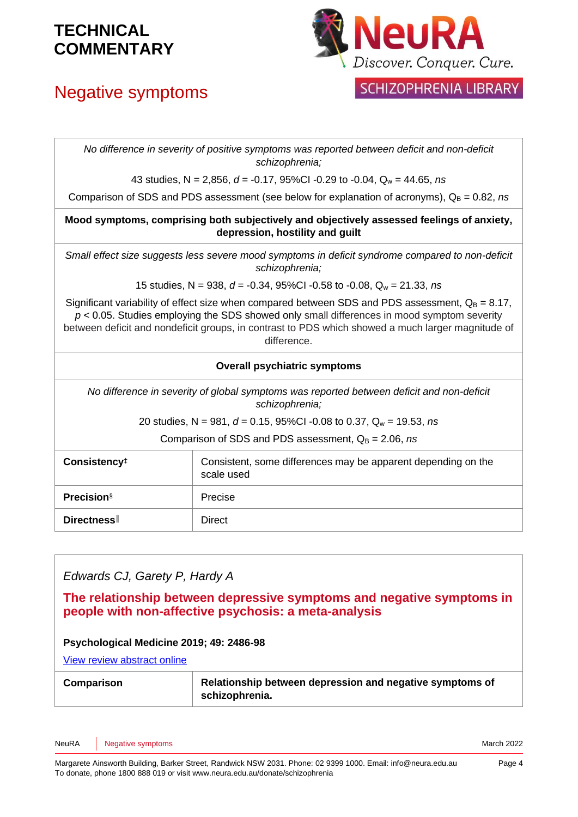# Negative symptoms



### **SCHIZOPHRENIA LIBRARY**

*No difference in severity of positive symptoms was reported between deficit and non-deficit schizophrenia;*

43 studies, N = 2,856, *d* = -0.17, 95%CI -0.29 to -0.04, Q<sup>w</sup> = 44.65, *ns*

Comparison of SDS and PDS assessment (see below for explanation of acronyms),  $Q_B = 0.82$ , *ns* 

**Mood symptoms, comprising both subjectively and objectively assessed feelings of anxiety, depression, hostility and guilt**

*Small effect size suggests less severe mood symptoms in deficit syndrome compared to non-deficit schizophrenia;*

15 studies, N = 938, *d* = -0.34, 95%CI -0.58 to -0.08, Q<sup>w</sup> = 21.33, *ns*

Significant variability of effect size when compared between SDS and PDS assessment,  $Q_B = 8.17$ , *p* < 0.05. Studies employing the SDS showed only small differences in mood symptom severity between deficit and nondeficit groups, in contrast to PDS which showed a much larger magnitude of difference.

#### **Overall psychiatric symptoms**

*No difference in severity of global symptoms was reported between deficit and non-deficit schizophrenia;*

20 studies, N = 981, *d* = 0.15, 95%CI -0.08 to 0.37, Q<sup>w</sup> = 19.53, *ns*

Comparison of SDS and PDS assessment,  $Q_B = 2.06$ , *ns* 

| Consistency <sup>#</sup> | Consistent, some differences may be apparent depending on the<br>scale used |
|--------------------------|-----------------------------------------------------------------------------|
| <b>Precision</b> §       | Precise                                                                     |
| <b>Directness</b>        | Direct                                                                      |

*Edwards CJ, Garety P, Hardy A*

**The relationship between depressive symptoms and negative symptoms in people with non-affective psychosis: a meta-analysis** 

#### **Psychological Medicine 2019; 49: 2486-98**

[View review abstract online](https://pubmed.ncbi.nlm.nih.gov/31530319/)

| <b>Comparison</b> | Relationship between depression and negative symptoms of |
|-------------------|----------------------------------------------------------|
|                   | schizophrenia.                                           |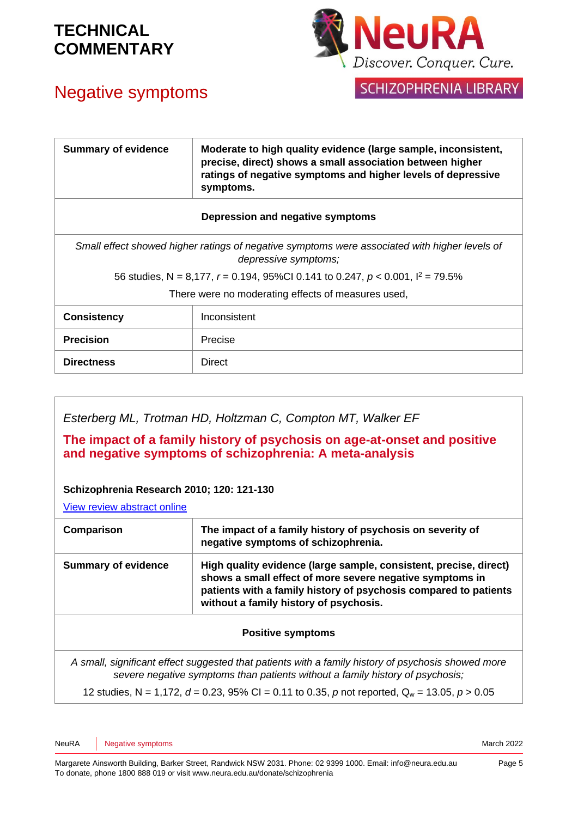# Negative symptoms



**SCHIZOPHRENIA LIBRARY** 

| <b>Summary of evidence</b>                                                                                            | Moderate to high quality evidence (large sample, inconsistent,<br>precise, direct) shows a small association between higher<br>ratings of negative symptoms and higher levels of depressive<br>symptoms. |  |
|-----------------------------------------------------------------------------------------------------------------------|----------------------------------------------------------------------------------------------------------------------------------------------------------------------------------------------------------|--|
|                                                                                                                       | Depression and negative symptoms                                                                                                                                                                         |  |
| Small effect showed higher ratings of negative symptoms were associated with higher levels of<br>depressive symptoms; |                                                                                                                                                                                                          |  |
| 56 studies, N = 8,177, $r = 0.194$ , 95%Cl 0.141 to 0.247, $p < 0.001$ , $l^2 = 79.5\%$                               |                                                                                                                                                                                                          |  |
| There were no moderating effects of measures used,                                                                    |                                                                                                                                                                                                          |  |
| <b>Consistency</b>                                                                                                    | Inconsistent                                                                                                                                                                                             |  |
| <b>Precision</b>                                                                                                      | Precise                                                                                                                                                                                                  |  |
| <b>Directness</b>                                                                                                     | <b>Direct</b>                                                                                                                                                                                            |  |

*Esterberg ML, Trotman HD, Holtzman C, Compton MT, Walker EF*

**The impact of a family history of psychosis on age-at-onset and positive and negative symptoms of schizophrenia: A meta-analysis**

#### **Schizophrenia Research 2010; 120: 121-130**

[View review abstract online](http://www.ncbi.nlm.nih.gov/pubmed/20303240)

| Comparison                 | The impact of a family history of psychosis on severity of<br>negative symptoms of schizophrenia.                                                                                                                                           |
|----------------------------|---------------------------------------------------------------------------------------------------------------------------------------------------------------------------------------------------------------------------------------------|
| <b>Summary of evidence</b> | High quality evidence (large sample, consistent, precise, direct)<br>shows a small effect of more severe negative symptoms in<br>patients with a family history of psychosis compared to patients<br>without a family history of psychosis. |

#### **Positive symptoms**

*A small, significant effect suggested that patients with a family history of psychosis showed more severe negative symptoms than patients without a family history of psychosis;*

12 studies, N = 1,172, *d* = 0.23, 95% CI = 0.11 to 0.35, *p* not reported, Q<sup>w</sup> = 13.05, *p* > 0.05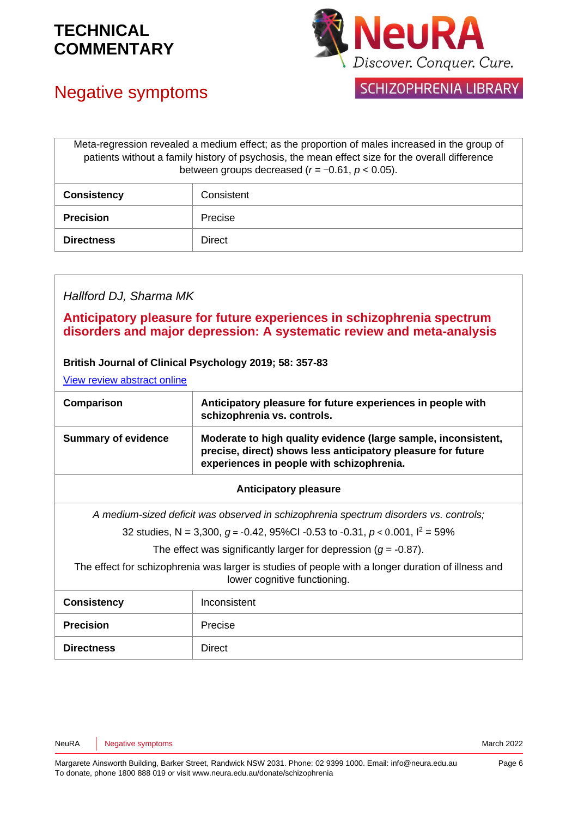

## Negative symptoms

**SCHIZOPHRENIA LIBRARY** 

| Meta-regression revealed a medium effect; as the proportion of males increased in the group of<br>patients without a family history of psychosis, the mean effect size for the overall difference<br>between groups decreased ( $r = -0.61$ , $p < 0.05$ ). |               |
|-------------------------------------------------------------------------------------------------------------------------------------------------------------------------------------------------------------------------------------------------------------|---------------|
| <b>Consistency</b>                                                                                                                                                                                                                                          | Consistent    |
| <b>Precision</b>                                                                                                                                                                                                                                            | Precise       |
| <b>Directness</b>                                                                                                                                                                                                                                           | <b>Direct</b> |

#### *Hallford DJ, Sharma MK*

#### **Anticipatory pleasure for future experiences in schizophrenia spectrum disorders and major depression: A systematic review and meta-analysis**

#### **British Journal of Clinical Psychology 2019; 58: 357-83**

[View review abstract online](https://onlinelibrary.wiley.com/doi/abs/10.1111/bjc.12218)

| Comparison                 | Anticipatory pleasure for future experiences in people with<br>schizophrenia vs. controls.                                                                                  |
|----------------------------|-----------------------------------------------------------------------------------------------------------------------------------------------------------------------------|
| <b>Summary of evidence</b> | Moderate to high quality evidence (large sample, inconsistent,<br>precise, direct) shows less anticipatory pleasure for future<br>experiences in people with schizophrenia. |

#### **Anticipatory pleasure**

*A medium-sized deficit was observed in schizophrenia spectrum disorders vs. controls;*

32 studies, N = 3,300, *g* = -0.42, 95%CI -0.53 to -0.31, *p* < 0.001, I<sup>2</sup> = 59%

The effect was significantly larger for depression  $(q = -0.87)$ .

The effect for schizophrenia was larger is studies of people with a longer duration of illness and lower cognitive functioning.

| <b>Consistency</b> | Inconsistent |
|--------------------|--------------|
| <b>Precision</b>   | Precise      |
| <b>Directness</b>  | Direct       |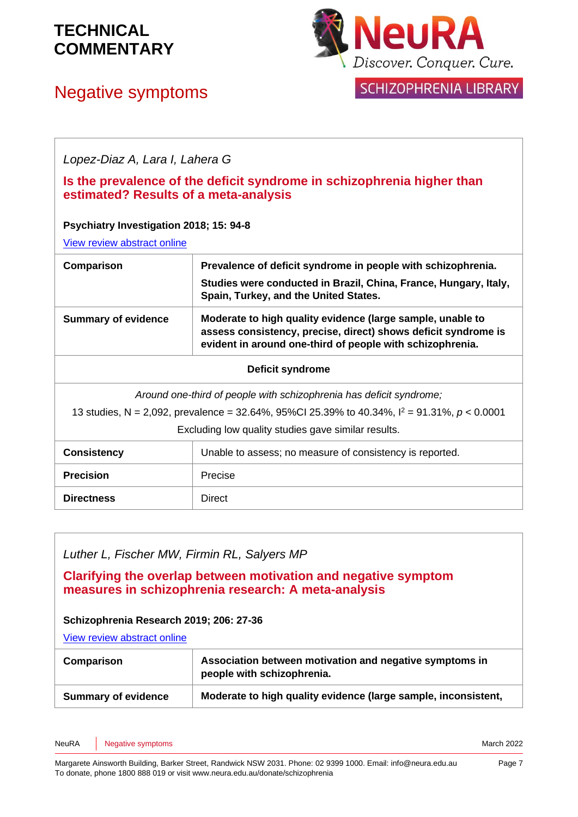Negative symptoms



### **SCHIZOPHRENIA LIBRARY**

*Lopez-Diaz A, Lara I, Lahera G*

#### **Is the prevalence of the deficit syndrome in schizophrenia higher than estimated? Results of a meta-analysis**

#### **Psychiatry Investigation 2018; 15: 94-8**

[View review abstract online](https://www.ncbi.nlm.nih.gov/pubmed/29422932)

| Comparison                                                                                                                                                                                                                     | Prevalence of deficit syndrome in people with schizophrenia.<br>Studies were conducted in Brazil, China, France, Hungary, Italy,<br>Spain, Turkey, and the United States.                 |  |  |
|--------------------------------------------------------------------------------------------------------------------------------------------------------------------------------------------------------------------------------|-------------------------------------------------------------------------------------------------------------------------------------------------------------------------------------------|--|--|
| <b>Summary of evidence</b>                                                                                                                                                                                                     | Moderate to high quality evidence (large sample, unable to<br>assess consistency, precise, direct) shows deficit syndrome is<br>evident in around one-third of people with schizophrenia. |  |  |
|                                                                                                                                                                                                                                | <b>Deficit syndrome</b>                                                                                                                                                                   |  |  |
| Around one-third of people with schizophrenia has deficit syndrome;<br>13 studies, N = 2,092, prevalence = 32.64%, 95%CI 25.39% to 40.34%, $I^2$ = 91.31%, $p < 0.0001$<br>Excluding low quality studies gave similar results. |                                                                                                                                                                                           |  |  |
| Unable to assess; no measure of consistency is reported.<br><b>Consistency</b>                                                                                                                                                 |                                                                                                                                                                                           |  |  |
| <b>Precision</b>                                                                                                                                                                                                               | Precise                                                                                                                                                                                   |  |  |
|                                                                                                                                                                                                                                |                                                                                                                                                                                           |  |  |

*Luther L, Fischer MW, Firmin RL, Salyers MP*

**Clarifying the overlap between motivation and negative symptom measures in schizophrenia research: A meta-analysis** 

#### **Schizophrenia Research 2019; 206: 27-36**

**Directness** Direct

[View review abstract online](https://pubmed.ncbi.nlm.nih.gov/30577993/)

| Comparison                 | Association between motivation and negative symptoms in<br>people with schizophrenia. |
|----------------------------|---------------------------------------------------------------------------------------|
| <b>Summary of evidence</b> | Moderate to high quality evidence (large sample, inconsistent,                        |

NeuRA Negative symptoms **National Structure of the COVID-Structure of the COVID-Structure of the COVID-Structure of the COVID-Structure of the March 2022**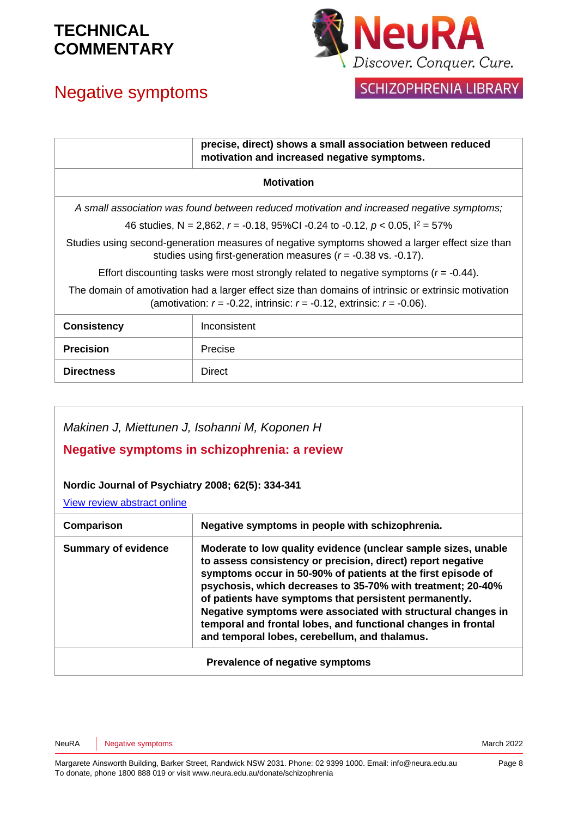# Negative symptoms



### SCHIZOPHRENIA LIBRARY

|                                                                                                                                                                                        | precise, direct) shows a small association between reduced<br>motivation and increased negative symptoms. |  |
|----------------------------------------------------------------------------------------------------------------------------------------------------------------------------------------|-----------------------------------------------------------------------------------------------------------|--|
| <b>Motivation</b>                                                                                                                                                                      |                                                                                                           |  |
|                                                                                                                                                                                        | A small association was found between reduced motivation and increased negative symptoms;                 |  |
| 46 studies, N = 2,862, r = -0.18, 95%Cl -0.24 to -0.12, $p < 0.05$ , $1^2 = 57\%$                                                                                                      |                                                                                                           |  |
| Studies using second-generation measures of negative symptoms showed a larger effect size than<br>studies using first-generation measures $(r = -0.38 \text{ vs. } -0.17)$ .           |                                                                                                           |  |
| Effort discounting tasks were most strongly related to negative symptoms ( $r = -0.44$ ).                                                                                              |                                                                                                           |  |
| The domain of amotivation had a larger effect size than domains of intrinsic or extrinsic motivation<br>(amotivation: $r = -0.22$ , intrinsic: $r = -0.12$ , extrinsic: $r = -0.06$ ). |                                                                                                           |  |
| <b>Consistency</b>                                                                                                                                                                     | Inconsistent                                                                                              |  |
| <b>Precision</b>                                                                                                                                                                       | Precise                                                                                                   |  |
| <b>Directness</b>                                                                                                                                                                      | Direct                                                                                                    |  |

#### *Makinen J, Miettunen J, Isohanni M, Koponen H*

#### **Negative symptoms in schizophrenia: a review**

#### **Nordic Journal of Psychiatry 2008; 62(5): 334-341**

[View review abstract online](http://www.ncbi.nlm.nih.gov/pubmed/18752104)

| Comparison                      | Negative symptoms in people with schizophrenia.                                                                                                                                                                                                                                                                                                                                                                                                                                                          |
|---------------------------------|----------------------------------------------------------------------------------------------------------------------------------------------------------------------------------------------------------------------------------------------------------------------------------------------------------------------------------------------------------------------------------------------------------------------------------------------------------------------------------------------------------|
| <b>Summary of evidence</b>      | Moderate to low quality evidence (unclear sample sizes, unable<br>to assess consistency or precision, direct) report negative<br>symptoms occur in 50-90% of patients at the first episode of<br>psychosis, which decreases to 35-70% with treatment; 20-40%<br>of patients have symptoms that persistent permanently.<br>Negative symptoms were associated with structural changes in<br>temporal and frontal lobes, and functional changes in frontal<br>and temporal lobes, cerebellum, and thalamus. |
| Prevalence of negative symptoms |                                                                                                                                                                                                                                                                                                                                                                                                                                                                                                          |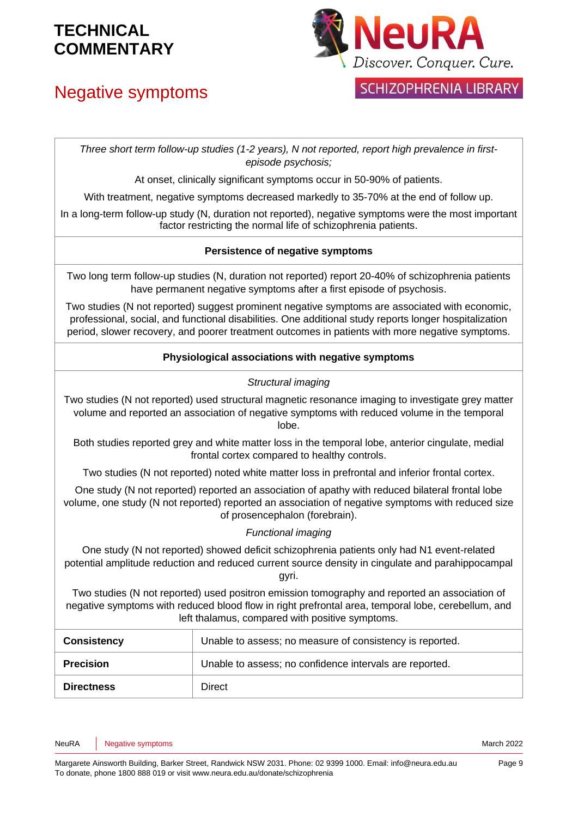# Negative symptoms



### **SCHIZOPHRENIA LIBRARY**

*Three short term follow-up studies (1-2 years), N not reported, report high prevalence in firstepisode psychosis;*

At onset, clinically significant symptoms occur in 50-90% of patients.

With treatment, negative symptoms decreased markedly to 35-70% at the end of follow up.

In a long-term follow-up study (N, duration not reported), negative symptoms were the most important factor restricting the normal life of schizophrenia patients.

#### **Persistence of negative symptoms**

Two long term follow-up studies (N, duration not reported) report 20-40% of schizophrenia patients have permanent negative symptoms after a first episode of psychosis.

Two studies (N not reported) suggest prominent negative symptoms are associated with economic, professional, social, and functional disabilities. One additional study reports longer hospitalization period, slower recovery, and poorer treatment outcomes in patients with more negative symptoms.

#### **Physiological associations with negative symptoms**

#### *Structural imaging*

Two studies (N not reported) used structural magnetic resonance imaging to investigate grey matter volume and reported an association of negative symptoms with reduced volume in the temporal lobe.

Both studies reported grey and white matter loss in the temporal lobe, anterior cingulate, medial frontal cortex compared to healthy controls.

Two studies (N not reported) noted white matter loss in prefrontal and inferior frontal cortex.

One study (N not reported) reported an association of apathy with reduced bilateral frontal lobe volume, one study (N not reported) reported an association of negative symptoms with reduced size of prosencephalon (forebrain).

#### *Functional imaging*

One study (N not reported) showed deficit schizophrenia patients only had N1 event-related potential amplitude reduction and reduced current source density in cingulate and parahippocampal gyri.

Two studies (N not reported) used positron emission tomography and reported an association of negative symptoms with reduced blood flow in right prefrontal area, temporal lobe, cerebellum, and left thalamus, compared with positive symptoms.

| <b>Consistency</b> | Unable to assess; no measure of consistency is reported. |
|--------------------|----------------------------------------------------------|
| <b>Precision</b>   | Unable to assess; no confidence intervals are reported.  |
| <b>Directness</b>  | Direct                                                   |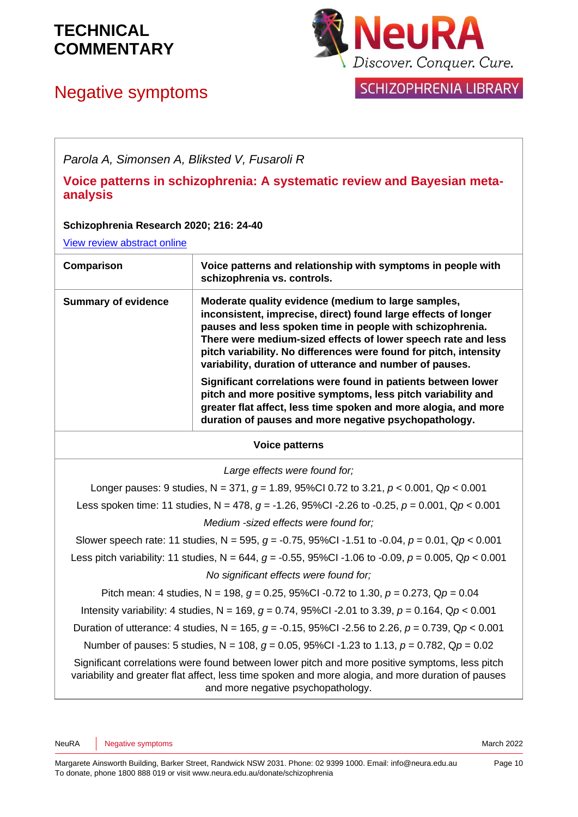# Negative symptoms



### **SCHIZOPHRENIA LIBRARY**

*Parola A, Simonsen A, Bliksted V, Fusaroli R*

**Voice patterns in schizophrenia: A systematic review and Bayesian metaanalysis**

#### **Schizophrenia Research 2020; 216: 24-40**

[View review abstract online](https://www.sciencedirect.com/science/article/abs/pii/S0920996419305389)

| Comparison                 | Voice patterns and relationship with symptoms in people with<br>schizophrenia vs. controls.                                                                                                                                                                                                                                                                                          |
|----------------------------|--------------------------------------------------------------------------------------------------------------------------------------------------------------------------------------------------------------------------------------------------------------------------------------------------------------------------------------------------------------------------------------|
| <b>Summary of evidence</b> | Moderate quality evidence (medium to large samples,<br>inconsistent, imprecise, direct) found large effects of longer<br>pauses and less spoken time in people with schizophrenia.<br>There were medium-sized effects of lower speech rate and less<br>pitch variability. No differences were found for pitch, intensity<br>variability, duration of utterance and number of pauses. |
|                            | Significant correlations were found in patients between lower<br>pitch and more positive symptoms, less pitch variability and<br>greater flat affect, less time spoken and more alogia, and more<br>duration of pauses and more negative psychopathology.                                                                                                                            |

#### **Voice patterns**

*Large effects were found for;*

Longer pauses: 9 studies, N = 371, *g* = 1.89, 95%CI 0.72 to 3.21, *p* < 0.001, Q*p* < 0.001 Less spoken time: 11 studies, N = 478, *g* = -1.26, 95%CI -2.26 to -0.25, *p* = 0.001, Q*p* < 0.001 *Medium -sized effects were found for;*

Slower speech rate: 11 studies, N = 595, *g* = -0.75, 95%CI -1.51 to -0.04, *p* = 0.01, Q*p* < 0.001 Less pitch variability: 11 studies, N = 644, *g* = -0.55, 95%CI -1.06 to -0.09, *p* = 0.005, Q*p* < 0.001

*No significant effects were found for;*

Pitch mean: 4 studies, N = 198, *g* = 0.25, 95%CI -0.72 to 1.30, *p* = 0.273, Q*p* = 0.04

Intensity variability: 4 studies, N = 169, *g* = 0.74, 95%CI -2.01 to 3.39, *p* = 0.164, Q*p* < 0.001

Duration of utterance: 4 studies, N = 165, *g* = -0.15, 95%CI -2.56 to 2.26, *p* = 0.739, Q*p* < 0.001

Number of pauses: 5 studies, N = 108, *g* = 0.05, 95%CI -1.23 to 1.13, *p* = 0.782, Q*p* = 0.02

Significant correlations were found between lower pitch and more positive symptoms, less pitch variability and greater flat affect, less time spoken and more alogia, and more duration of pauses and more negative psychopathology.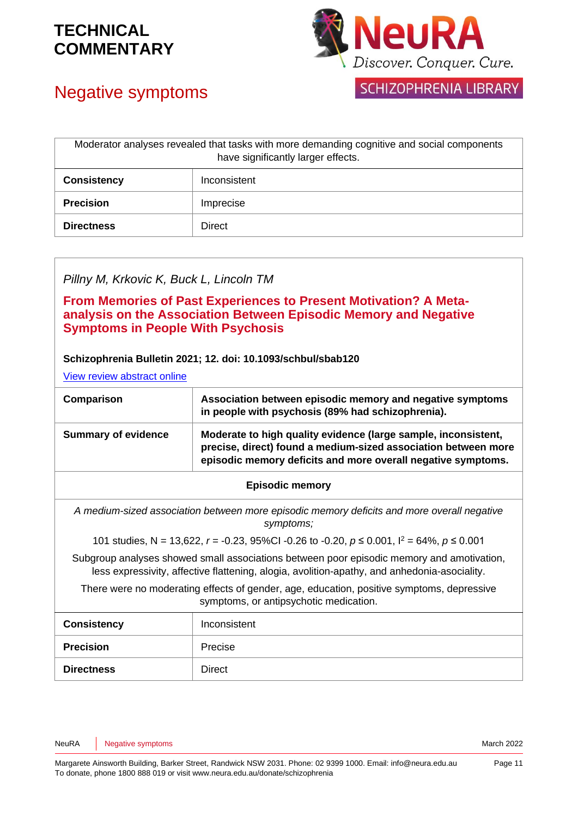

# Negative symptoms

**SCHIZOPHRENIA LIBRARY** 

| Moderator analyses revealed that tasks with more demanding cognitive and social components<br>have significantly larger effects. |               |
|----------------------------------------------------------------------------------------------------------------------------------|---------------|
| <b>Consistency</b>                                                                                                               | Inconsistent  |
| <b>Precision</b>                                                                                                                 | Imprecise     |
| <b>Directness</b>                                                                                                                | <b>Direct</b> |

#### *Pillny M, Krkovic K, Buck L, Lincoln TM*

**From Memories of Past Experiences to Present Motivation? A Metaanalysis on the Association Between Episodic Memory and Negative Symptoms in People With Psychosis** 

#### **Schizophrenia Bulletin 2021; 12. doi: 10.1093/schbul/sbab120**

[View review abstract online](https://pubmed.ncbi.nlm.nih.gov/34635918/)

| Comparison                                                                                                                                                                                | Association between episodic memory and negative symptoms<br>in people with psychosis (89% had schizophrenia).                                                                                   |
|-------------------------------------------------------------------------------------------------------------------------------------------------------------------------------------------|--------------------------------------------------------------------------------------------------------------------------------------------------------------------------------------------------|
| <b>Summary of evidence</b>                                                                                                                                                                | Moderate to high quality evidence (large sample, inconsistent,<br>precise, direct) found a medium-sized association between more<br>episodic memory deficits and more overall negative symptoms. |
|                                                                                                                                                                                           | <b>Episodic memory</b>                                                                                                                                                                           |
|                                                                                                                                                                                           | A medium-sized association between more episodic memory deficits and more overall negative<br>symptoms;                                                                                          |
| 101 studies, N = 13,622, r = -0.23, 95%CI -0.26 to -0.20, $p \le 0.001$ , $l^2 = 64\%$ , $p \le 0.001$                                                                                    |                                                                                                                                                                                                  |
| Subgroup analyses showed small associations between poor episodic memory and amotivation,<br>less expressivity, affective flattening, alogia, avolition-apathy, and anhedonia-asociality. |                                                                                                                                                                                                  |
| There were no moderating effects of gender, age, education, positive symptoms, depressive<br>symptoms, or antipsychotic medication.                                                       |                                                                                                                                                                                                  |
| <b>Consistency</b>                                                                                                                                                                        | Inconsistent                                                                                                                                                                                     |
| <b>Precision</b>                                                                                                                                                                          | Precise                                                                                                                                                                                          |
| <b>Directness</b>                                                                                                                                                                         | Direct                                                                                                                                                                                           |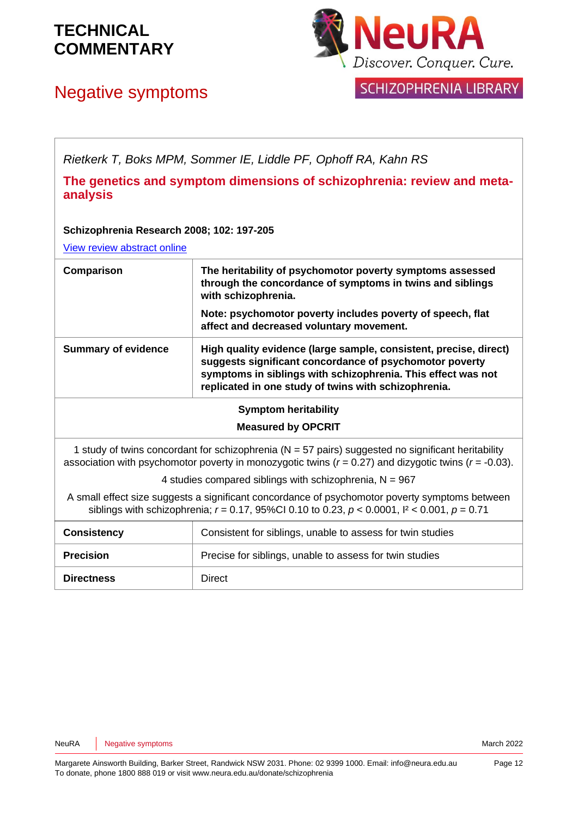

## Negative symptoms



**SCHIZOPHRENIA LIBRARY** 

*Rietkerk T, Boks MPM, Sommer IE, Liddle PF, Ophoff RA, Kahn RS*

**The genetics and symptom dimensions of schizophrenia: review and metaanalysis**

#### **Schizophrenia Research 2008; 102: 197-205**

[View review abstract online](http://www.ncbi.nlm.nih.gov/pubmed/18328672)

| Comparison                 | The heritability of psychomotor poverty symptoms assessed<br>through the concordance of symptoms in twins and siblings<br>with schizophrenia.<br>Note: psychomotor poverty includes poverty of speech, flat<br>affect and decreased voluntary movement. |
|----------------------------|---------------------------------------------------------------------------------------------------------------------------------------------------------------------------------------------------------------------------------------------------------|
| <b>Summary of evidence</b> | High quality evidence (large sample, consistent, precise, direct)<br>suggests significant concordance of psychomotor poverty<br>symptoms in siblings with schizophrenia. This effect was not<br>replicated in one study of twins with schizophrenia.    |
| Symntom heritability       |                                                                                                                                                                                                                                                         |

#### **Symptom heritability**

#### **Measured by OPCRIT**

1 study of twins concordant for schizophrenia ( $N = 57$  pairs) suggested no significant heritability association with psychomotor poverty in monozygotic twins (*r* = 0.27) and dizygotic twins (*r* = -0.03).

4 studies compared siblings with schizophrenia,  $N = 967$ 

A small effect size suggests a significant concordance of psychomotor poverty symptoms between siblings with schizophrenia; *r* = 0.17, 95%CI 0.10 to 0.23, *p* < 0.0001, I² < 0.001, *p* = 0.71

| <b>Consistency</b> | Consistent for siblings, unable to assess for twin studies |
|--------------------|------------------------------------------------------------|
| <b>Precision</b>   | Precise for siblings, unable to assess for twin studies    |
| <b>Directness</b>  | Direct                                                     |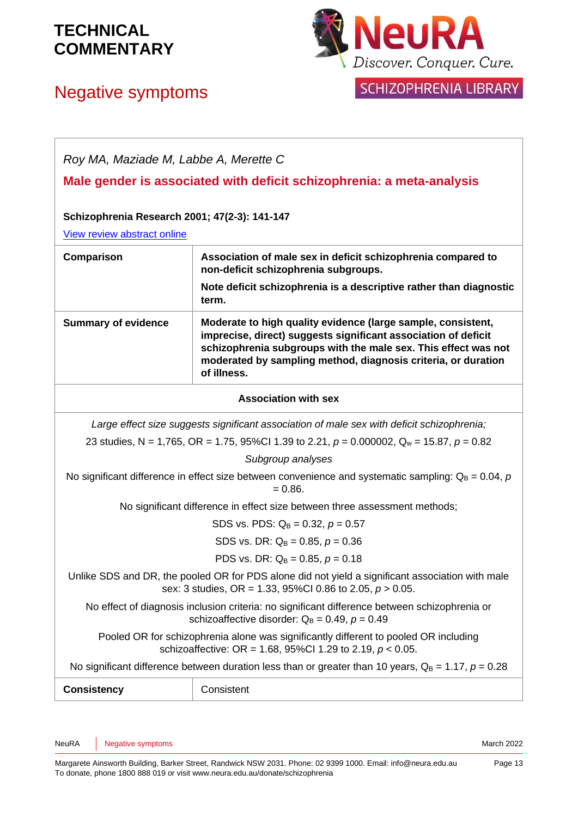## Negative symptoms



### SCHIZOPHRENIA LIBRARY

| Roy MA, Maziade M, Labbe A, Merette C                                                                                                                           |                                                                                                                                                                                                                                                                                  |  |
|-----------------------------------------------------------------------------------------------------------------------------------------------------------------|----------------------------------------------------------------------------------------------------------------------------------------------------------------------------------------------------------------------------------------------------------------------------------|--|
| Male gender is associated with deficit schizophrenia: a meta-analysis                                                                                           |                                                                                                                                                                                                                                                                                  |  |
| Schizophrenia Research 2001; 47(2-3): 141-147                                                                                                                   |                                                                                                                                                                                                                                                                                  |  |
| View review abstract online                                                                                                                                     |                                                                                                                                                                                                                                                                                  |  |
| Comparison                                                                                                                                                      | Association of male sex in deficit schizophrenia compared to<br>non-deficit schizophrenia subgroups.                                                                                                                                                                             |  |
|                                                                                                                                                                 | Note deficit schizophrenia is a descriptive rather than diagnostic<br>term.                                                                                                                                                                                                      |  |
| <b>Summary of evidence</b>                                                                                                                                      | Moderate to high quality evidence (large sample, consistent,<br>imprecise, direct) suggests significant association of deficit<br>schizophrenia subgroups with the male sex. This effect was not<br>moderated by sampling method, diagnosis criteria, or duration<br>of illness. |  |
|                                                                                                                                                                 | <b>Association with sex</b>                                                                                                                                                                                                                                                      |  |
|                                                                                                                                                                 | Large effect size suggests significant association of male sex with deficit schizophrenia;                                                                                                                                                                                       |  |
| 23 studies, N = 1,765, OR = 1.75, 95%Cl 1.39 to 2.21, $p = 0.000002$ , $Q_w = 15.87$ , $p = 0.82$                                                               |                                                                                                                                                                                                                                                                                  |  |
| Subgroup analyses                                                                                                                                               |                                                                                                                                                                                                                                                                                  |  |
| No significant difference in effect size between convenience and systematic sampling: $Q_B = 0.04$ , p<br>$= 0.86.$                                             |                                                                                                                                                                                                                                                                                  |  |
| No significant difference in effect size between three assessment methods;                                                                                      |                                                                                                                                                                                                                                                                                  |  |
|                                                                                                                                                                 | SDS vs. PDS: $Q_B = 0.32$ , $p = 0.57$                                                                                                                                                                                                                                           |  |
| SDS vs. DR: $Q_B = 0.85$ , $p = 0.36$                                                                                                                           |                                                                                                                                                                                                                                                                                  |  |
| PDS vs. DR: $Q_B = 0.85$ , $p = 0.18$                                                                                                                           |                                                                                                                                                                                                                                                                                  |  |
| Unlike SDS and DR, the pooled OR for PDS alone did not yield a significant association with male<br>sex: 3 studies, OR = 1.33, 95%Cl 0.86 to 2.05, $p > 0.05$ . |                                                                                                                                                                                                                                                                                  |  |
| No effect of diagnosis inclusion criteria: no significant difference between schizophrenia or<br>schizoaffective disorder: $Q_B = 0.49$ , $p = 0.49$            |                                                                                                                                                                                                                                                                                  |  |
| Pooled OR for schizophrenia alone was significantly different to pooled OR including<br>schizoaffective: OR = 1.68, 95%Cl 1.29 to 2.19, $p < 0.05$ .            |                                                                                                                                                                                                                                                                                  |  |
| No significant difference between duration less than or greater than 10 years, $Q_B = 1.17$ , $p = 0.28$                                                        |                                                                                                                                                                                                                                                                                  |  |
| <b>Consistency</b>                                                                                                                                              | Consistent                                                                                                                                                                                                                                                                       |  |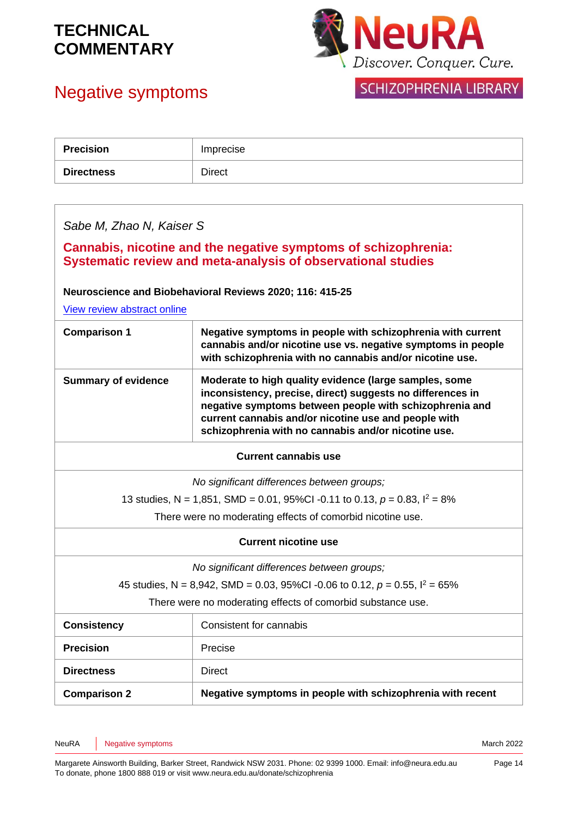# Negative symptoms



### SCHIZOPHRENIA LIBRARY

| <b>Precision</b>                                                                                                               | Imprecise                                                                                                                                                                                                                                                                                      |  |
|--------------------------------------------------------------------------------------------------------------------------------|------------------------------------------------------------------------------------------------------------------------------------------------------------------------------------------------------------------------------------------------------------------------------------------------|--|
| <b>Directness</b>                                                                                                              | <b>Direct</b>                                                                                                                                                                                                                                                                                  |  |
|                                                                                                                                |                                                                                                                                                                                                                                                                                                |  |
| Sabe M, Zhao N, Kaiser S                                                                                                       |                                                                                                                                                                                                                                                                                                |  |
| Cannabis, nicotine and the negative symptoms of schizophrenia:<br>Systematic review and meta-analysis of observational studies |                                                                                                                                                                                                                                                                                                |  |
|                                                                                                                                | Neuroscience and Biobehavioral Reviews 2020; 116: 415-25                                                                                                                                                                                                                                       |  |
| View review abstract online                                                                                                    |                                                                                                                                                                                                                                                                                                |  |
| <b>Comparison 1</b>                                                                                                            | Negative symptoms in people with schizophrenia with current<br>cannabis and/or nicotine use vs. negative symptoms in people<br>with schizophrenia with no cannabis and/or nicotine use.                                                                                                        |  |
| <b>Summary of evidence</b>                                                                                                     | Moderate to high quality evidence (large samples, some<br>inconsistency, precise, direct) suggests no differences in<br>negative symptoms between people with schizophrenia and<br>current cannabis and/or nicotine use and people with<br>schizophrenia with no cannabis and/or nicotine use. |  |
| <b>Current cannabis use</b>                                                                                                    |                                                                                                                                                                                                                                                                                                |  |
|                                                                                                                                | No significant differences between groups;                                                                                                                                                                                                                                                     |  |
| 13 studies, N = 1,851, SMD = 0.01, 95%CI -0.11 to 0.13, $p = 0.83$ , $l^2 = 8\%$                                               |                                                                                                                                                                                                                                                                                                |  |
| There were no moderating effects of comorbid nicotine use.                                                                     |                                                                                                                                                                                                                                                                                                |  |
| <b>Current nicotine use</b>                                                                                                    |                                                                                                                                                                                                                                                                                                |  |
| No significant differences between groups;                                                                                     |                                                                                                                                                                                                                                                                                                |  |
| 45 studies, N = 8,942, SMD = 0.03, 95%CI -0.06 to 0.12, $p = 0.55$ , $l^2 = 65\%$                                              |                                                                                                                                                                                                                                                                                                |  |
| There were no moderating effects of comorbid substance use.                                                                    |                                                                                                                                                                                                                                                                                                |  |
| <b>Consistency</b>                                                                                                             | Consistent for cannabis                                                                                                                                                                                                                                                                        |  |
| <b>Precision</b>                                                                                                               | Precise                                                                                                                                                                                                                                                                                        |  |
| <b>Directness</b>                                                                                                              | <b>Direct</b>                                                                                                                                                                                                                                                                                  |  |
| <b>Comparison 2</b>                                                                                                            | Negative symptoms in people with schizophrenia with recent                                                                                                                                                                                                                                     |  |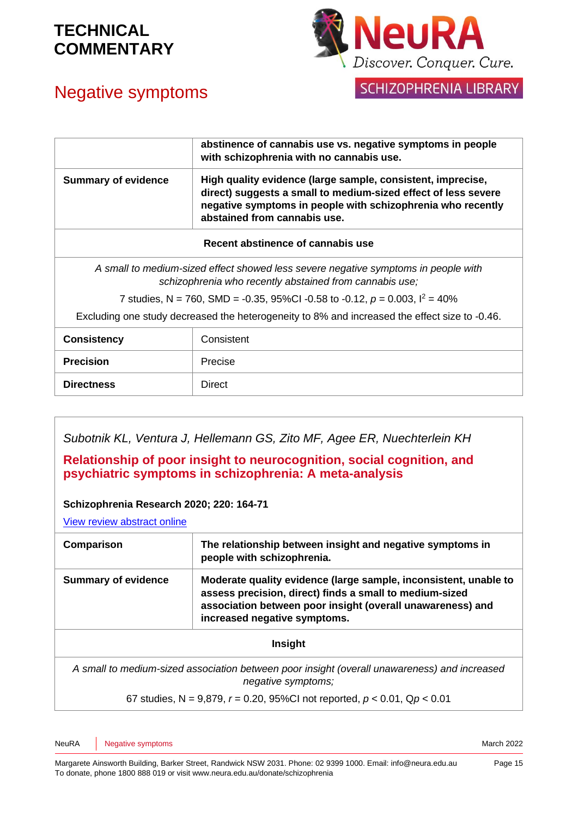

## Negative symptoms

**SCHIZOPHRENIA LIBRARY** 

|                                                                                                                                               | abstinence of cannabis use vs. negative symptoms in people<br>with schizophrenia with no cannabis use.                                                                                                                       |  |
|-----------------------------------------------------------------------------------------------------------------------------------------------|------------------------------------------------------------------------------------------------------------------------------------------------------------------------------------------------------------------------------|--|
| <b>Summary of evidence</b>                                                                                                                    | High quality evidence (large sample, consistent, imprecise,<br>direct) suggests a small to medium-sized effect of less severe<br>negative symptoms in people with schizophrenia who recently<br>abstained from cannabis use. |  |
| Recent abstinence of cannabis use                                                                                                             |                                                                                                                                                                                                                              |  |
| A small to medium-sized effect showed less severe negative symptoms in people with<br>schizophrenia who recently abstained from cannabis use; |                                                                                                                                                                                                                              |  |
| 7 studies, N = 760, SMD = -0.35, 95%CI -0.58 to -0.12, $p = 0.003$ , $l^2 = 40\%$                                                             |                                                                                                                                                                                                                              |  |
| Excluding one study decreased the heterogeneity to 8% and increased the effect size to -0.46.                                                 |                                                                                                                                                                                                                              |  |
| <b>Consistency</b>                                                                                                                            | Consistent                                                                                                                                                                                                                   |  |
| <b>Precision</b>                                                                                                                              | Precise                                                                                                                                                                                                                      |  |
| <b>Directness</b>                                                                                                                             | <b>Direct</b>                                                                                                                                                                                                                |  |

*Subotnik KL, Ventura J, Hellemann GS, Zito MF, Agee ER, Nuechterlein KH*

**Relationship of poor insight to neurocognition, social cognition, and psychiatric symptoms in schizophrenia: A meta-analysis** 

#### **Schizophrenia Research 2020; 220: 164-71**

[View review abstract online](https://pubmed.ncbi.nlm.nih.gov/32334936/)

| Comparison                                                                                                         | The relationship between insight and negative symptoms in<br>people with schizophrenia.                                                                                                                                   |
|--------------------------------------------------------------------------------------------------------------------|---------------------------------------------------------------------------------------------------------------------------------------------------------------------------------------------------------------------------|
| <b>Summary of evidence</b>                                                                                         | Moderate quality evidence (large sample, inconsistent, unable to<br>assess precision, direct) finds a small to medium-sized<br>association between poor insight (overall unawareness) and<br>increased negative symptoms. |
| Insight                                                                                                            |                                                                                                                                                                                                                           |
| A small to medium-sized association between poor insight (overall unawareness) and increased<br>negative symptoms; |                                                                                                                                                                                                                           |
| 67 studies, N = 9,879, $r = 0.20$ , 95%CI not reported, $p < 0.01$ , Qp < 0.01                                     |                                                                                                                                                                                                                           |

NeuRA Negative symptoms **National Structure of the COVID-Structure of the COVID-Structure of the COVID-Structure of the COVID-Structure of the March 2022**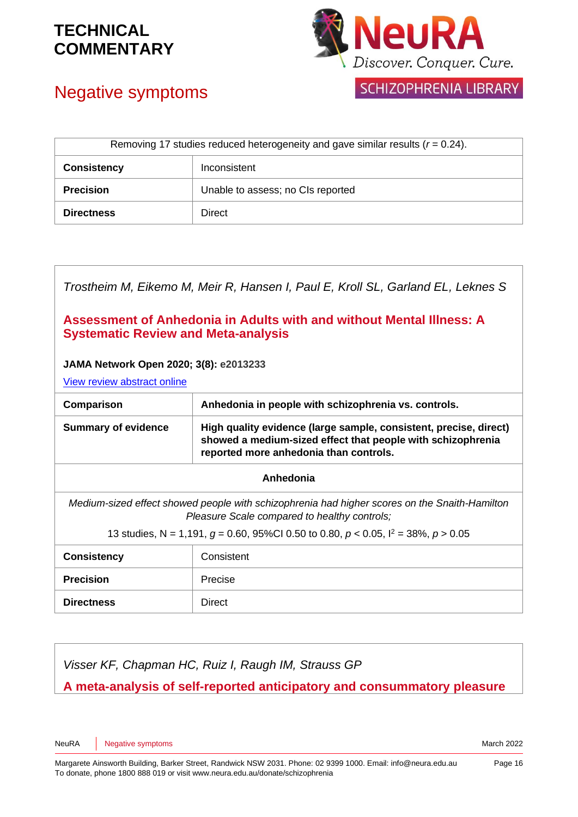



### Negative symptoms

SCHIZOPHRENIA LIBRARY

| Removing 17 studies reduced heterogeneity and gave similar results $(r = 0.24)$ . |                                   |
|-----------------------------------------------------------------------------------|-----------------------------------|
| <b>Consistency</b>                                                                | Inconsistent                      |
| <b>Precision</b>                                                                  | Unable to assess; no CIs reported |
| <b>Directness</b>                                                                 | Direct                            |

| Trostheim M, Eikemo M, Meir R, Hansen I, Paul E, Kroll SL, Garland EL, Leknes S                                                               |                                                                                                                                                                            |  |
|-----------------------------------------------------------------------------------------------------------------------------------------------|----------------------------------------------------------------------------------------------------------------------------------------------------------------------------|--|
| Assessment of Anhedonia in Adults with and without Mental Illness: A<br><b>Systematic Review and Meta-analysis</b>                            |                                                                                                                                                                            |  |
| JAMA Network Open 2020; 3(8): e2013233<br>View review abstract online                                                                         |                                                                                                                                                                            |  |
| Comparison                                                                                                                                    | Anhedonia in people with schizophrenia vs. controls.                                                                                                                       |  |
| <b>Summary of evidence</b>                                                                                                                    | High quality evidence (large sample, consistent, precise, direct)<br>showed a medium-sized effect that people with schizophrenia<br>reported more anhedonia than controls. |  |
| Anhedonia                                                                                                                                     |                                                                                                                                                                            |  |
| Medium-sized effect showed people with schizophrenia had higher scores on the Snaith-Hamilton<br>Pleasure Scale compared to healthy controls; |                                                                                                                                                                            |  |
| 13 studies, N = 1,191, $g = 0.60$ , 95%CI 0.50 to 0.80, $p < 0.05$ , $l^2 = 38$ %, $p > 0.05$                                                 |                                                                                                                                                                            |  |
| <b>Consistency</b>                                                                                                                            | Consistent                                                                                                                                                                 |  |
| <b>Precision</b>                                                                                                                              | Precise                                                                                                                                                                    |  |
| <b>Directness</b>                                                                                                                             | Direct                                                                                                                                                                     |  |
|                                                                                                                                               |                                                                                                                                                                            |  |

*Visser KF, Chapman HC, Ruiz I, Raugh IM, Strauss GP*

**A meta-analysis of self-reported anticipatory and consummatory pleasure** 

NeuRA Negative symptoms **National Structure of the COVID-Structure of the COVID-Structure of the COVID-Structure of the COVID-Structure of the March 2022**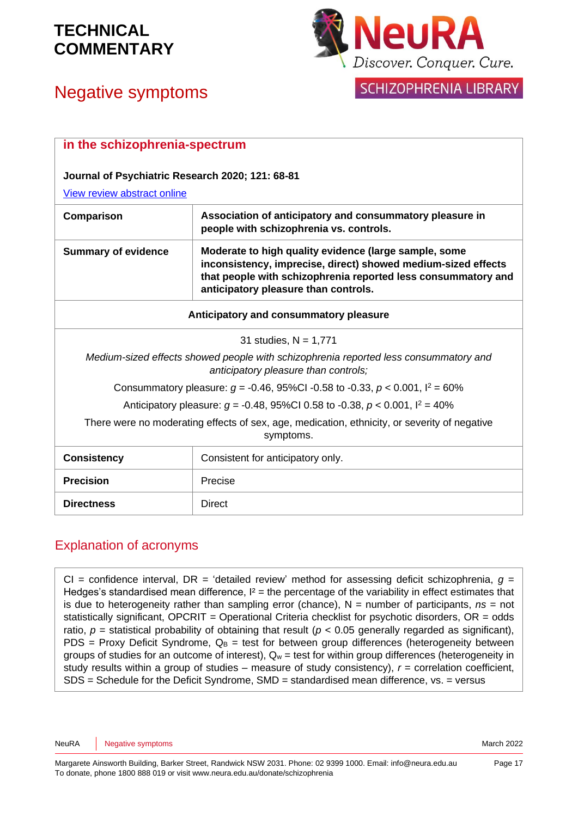# Negative symptoms



### **SCHIZOPHRENIA LIBRARY**

| in the schizophrenia-spectrum                                                                                                |                                                                                                                                                                                                                                 |
|------------------------------------------------------------------------------------------------------------------------------|---------------------------------------------------------------------------------------------------------------------------------------------------------------------------------------------------------------------------------|
| Journal of Psychiatric Research 2020; 121: 68-81                                                                             |                                                                                                                                                                                                                                 |
| View review abstract online                                                                                                  |                                                                                                                                                                                                                                 |
| Comparison                                                                                                                   | Association of anticipatory and consummatory pleasure in<br>people with schizophrenia vs. controls.                                                                                                                             |
| <b>Summary of evidence</b>                                                                                                   | Moderate to high quality evidence (large sample, some<br>inconsistency, imprecise, direct) showed medium-sized effects<br>that people with schizophrenia reported less consummatory and<br>anticipatory pleasure than controls. |
| Anticipatory and consummatory pleasure                                                                                       |                                                                                                                                                                                                                                 |
| 31 studies, $N = 1,771$                                                                                                      |                                                                                                                                                                                                                                 |
| Medium-sized effects showed people with schizophrenia reported less consummatory and<br>anticipatory pleasure than controls; |                                                                                                                                                                                                                                 |
| Consummatory pleasure: $q = -0.46$ , 95%Cl -0.58 to -0.33, $p < 0.001$ , $l^2 = 60\%$                                        |                                                                                                                                                                                                                                 |
| Anticipatory pleasure: $q = -0.48$ , 95%Cl 0.58 to -0.38, $p < 0.001$ , $l^2 = 40\%$                                         |                                                                                                                                                                                                                                 |
| There were no moderating effects of sex, age, medication, ethnicity, or severity of negative<br>symptoms.                    |                                                                                                                                                                                                                                 |
| <b>Consistency</b>                                                                                                           | Consistent for anticipatory only.                                                                                                                                                                                               |
| <b>Precision</b>                                                                                                             | Precise                                                                                                                                                                                                                         |
| <b>Directness</b>                                                                                                            | <b>Direct</b>                                                                                                                                                                                                                   |

#### Explanation of acronyms

CI = confidence interval, DR = 'detailed review' method for assessing deficit schizophrenia,  $q =$ Hedges's standardised mean difference,  $I^2 =$  the percentage of the variability in effect estimates that is due to heterogeneity rather than sampling error (chance),  $N =$  number of participants,  $ns =$  not statistically significant, OPCRIT *=* Operational Criteria checklist for psychotic disorders, OR = odds ratio,  $p =$  statistical probability of obtaining that result ( $p < 0.05$  generally regarded as significant), PDS = Proxy Deficit Syndrome,  $Q_B$  = test for between group differences (heterogeneity between groups of studies for an outcome of interest),  $Q_w$  = test for within group differences (heterogeneity in study results within a group of studies – measure of study consistency), *r* = correlation coefficient, SDS = Schedule for the Deficit Syndrome, SMD = standardised mean difference, vs. = versus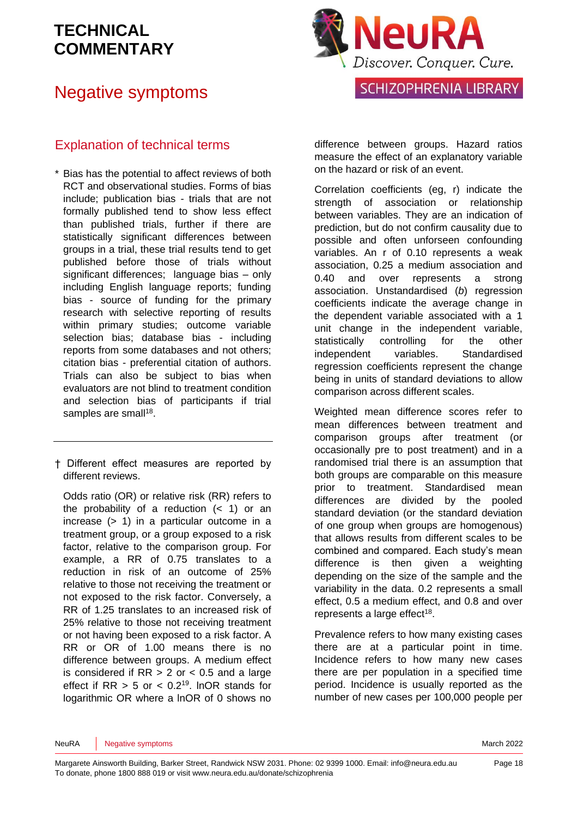### Negative symptoms



#### Explanation of technical terms

- \* Bias has the potential to affect reviews of both RCT and observational studies. Forms of bias include; publication bias - trials that are not formally published tend to show less effect than published trials, further if there are statistically significant differences between groups in a trial, these trial results tend to get published before those of trials without significant differences; language bias – only including English language reports; funding bias - source of funding for the primary research with selective reporting of results within primary studies; outcome variable selection bias; database bias - including reports from some databases and not others; citation bias - preferential citation of authors. Trials can also be subject to bias when evaluators are not blind to treatment condition and selection bias of participants if trial samples are small<sup>[18](#page-19-3)</sup>.
- † Different effect measures are reported by different reviews.

Odds ratio (OR) or relative risk (RR) refers to the probability of a reduction  $( $1$ )$  or an increase (> 1) in a particular outcome in a treatment group, or a group exposed to a risk factor, relative to the comparison group. For example, a RR of 0.75 translates to a reduction in risk of an outcome of 25% relative to those not receiving the treatment or not exposed to the risk factor. Conversely, a RR of 1.25 translates to an increased risk of 25% relative to those not receiving treatment or not having been exposed to a risk factor. A RR or OR of 1.00 means there is no difference between groups. A medium effect is considered if  $RR > 2$  or  $< 0.5$  and a large effect if  $RR > 5$  or  $< 0.2<sup>19</sup>$  $< 0.2<sup>19</sup>$  $< 0.2<sup>19</sup>$ . InOR stands for logarithmic OR where a lnOR of 0 shows no

difference between groups. Hazard ratios measure the effect of an explanatory variable on the hazard or risk of an event.

Correlation coefficients (eg, r) indicate the strength of association or relationship between variables. They are an indication of prediction, but do not confirm causality due to possible and often unforseen confounding variables. An r of 0.10 represents a weak association, 0.25 a medium association and 0.40 and over represents a strong association. Unstandardised (*b*) regression coefficients indicate the average change in the dependent variable associated with a 1 unit change in the independent variable, statistically controlling for the other independent variables. Standardised regression coefficients represent the change being in units of standard deviations to allow comparison across different scales.

Weighted mean difference scores refer to mean differences between treatment and comparison groups after treatment (or occasionally pre to post treatment) and in a randomised trial there is an assumption that both groups are comparable on this measure prior to treatment. Standardised mean differences are divided by the pooled standard deviation (or the standard deviation of one group when groups are homogenous) that allows results from different scales to be combined and compared. Each study's mean difference is then given a weighting depending on the size of the sample and the variability in the data. 0.2 represents a small effect, 0.5 a medium effect, and 0.8 and over represents a large effect<sup>[18](#page-19-3)</sup>.

Prevalence refers to how many existing cases there are at a particular point in time. Incidence refers to how many new cases there are per population in a specified time period. Incidence is usually reported as the number of new cases per 100,000 people per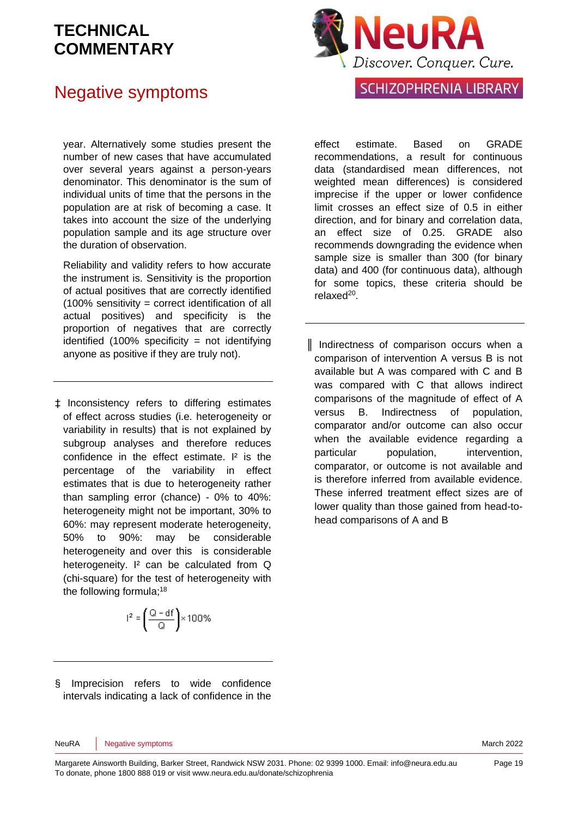### Negative symptoms

year. Alternatively some studies present the number of new cases that have accumulated over several years against a person-years denominator. This denominator is the sum of individual units of time that the persons in the population are at risk of becoming a case. It takes into account the size of the underlying population sample and its age structure over the duration of observation.

Reliability and validity refers to how accurate the instrument is. Sensitivity is the proportion of actual positives that are correctly identified (100% sensitivity = correct identification of all actual positives) and specificity is the proportion of negatives that are correctly identified  $(100\%$  specificity = not identifying anyone as positive if they are truly not).

‡ Inconsistency refers to differing estimates of effect across studies (i.e. heterogeneity or variability in results) that is not explained by subgroup analyses and therefore reduces confidence in the effect estimate. I² is the percentage of the variability in effect estimates that is due to heterogeneity rather than sampling error (chance) - 0% to 40%: heterogeneity might not be important, 30% to 60%: may represent moderate heterogeneity, 50% to 90%: may be considerable heterogeneity and over this is considerable heterogeneity. I<sup>2</sup> can be calculated from Q (chi-square) for the test of heterogeneity with the following formula;<sup>[18](#page-19-3)</sup>

$$
^{2}=\left( \frac{Q-df}{Q}\right) \times100\%
$$

effect estimate. Based on GRADE recommendations, a result for continuous data (standardised mean differences, not weighted mean differences) is considered imprecise if the upper or lower confidence limit crosses an effect size of 0.5 in either direction, and for binary and correlation data, an effect size of 0.25. GRADE also recommends downgrading the evidence when sample size is smaller than 300 (for binary data) and 400 (for continuous data), although for some topics, these criteria should be relaxed<sup>[20](#page-20-0)</sup>.

║ Indirectness of comparison occurs when a comparison of intervention A versus B is not available but A was compared with C and B was compared with C that allows indirect comparisons of the magnitude of effect of A versus B. Indirectness of population, comparator and/or outcome can also occur when the available evidence regarding a particular population, intervention, comparator, or outcome is not available and is therefore inferred from available evidence. These inferred treatment effect sizes are of lower quality than those gained from head-tohead comparisons of A and B

§ Imprecision refers to wide confidence intervals indicating a lack of confidence in the

NeuRA Negative symptoms **March 2022** NeuRA Negative symptoms

 $\overline{\phantom{a}}$ 



### **SCHIZOPHRENIA LIBRARY**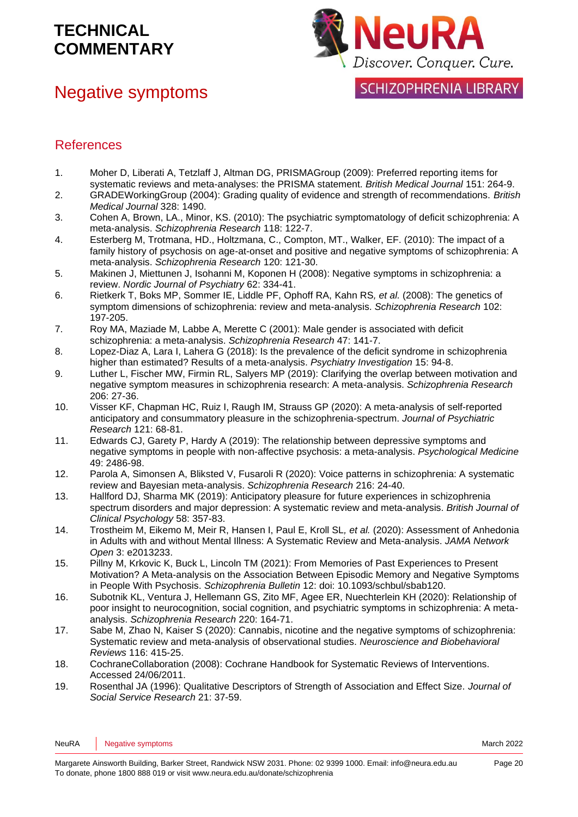### Negative symptoms



**SCHIZOPHRENIA LIBRARY** 

#### References

- <span id="page-19-0"></span>1. Moher D, Liberati A, Tetzlaff J, Altman DG, PRISMAGroup (2009): Preferred reporting items for systematic reviews and meta-analyses: the PRISMA statement. *British Medical Journal* 151: 264-9.
- <span id="page-19-1"></span>2. GRADEWorkingGroup (2004): Grading quality of evidence and strength of recommendations. *British Medical Journal* 328: 1490.
- <span id="page-19-2"></span>3. Cohen A, Brown, LA., Minor, KS. (2010): The psychiatric symptomatology of deficit schizophrenia: A meta-analysis. *Schizophrenia Research* 118: 122-7.
- 4. Esterberg M, Trotmana, HD., Holtzmana, C., Compton, MT., Walker, EF. (2010): The impact of a family history of psychosis on age-at-onset and positive and negative symptoms of schizophrenia: A meta-analysis. *Schizophrenia Research* 120: 121-30.
- 5. Makinen J, Miettunen J, Isohanni M, Koponen H (2008): Negative symptoms in schizophrenia: a review. *Nordic Journal of Psychiatry* 62: 334-41.
- 6. Rietkerk T, Boks MP, Sommer IE, Liddle PF, Ophoff RA, Kahn RS*, et al.* (2008): The genetics of symptom dimensions of schizophrenia: review and meta-analysis. *Schizophrenia Research* 102: 197-205.
- 7. Roy MA, Maziade M, Labbe A, Merette C (2001): Male gender is associated with deficit schizophrenia: a meta-analysis. *Schizophrenia Research* 47: 141-7.
- 8. Lopez-Diaz A, Lara I, Lahera G (2018): Is the prevalence of the deficit syndrome in schizophrenia higher than estimated? Results of a meta-analysis. *Psychiatry Investigation* 15: 94-8.
- 9. Luther L, Fischer MW, Firmin RL, Salyers MP (2019): Clarifying the overlap between motivation and negative symptom measures in schizophrenia research: A meta-analysis. *Schizophrenia Research* 206: 27-36.
- 10. Visser KF, Chapman HC, Ruiz I, Raugh IM, Strauss GP (2020): A meta-analysis of self-reported anticipatory and consummatory pleasure in the schizophrenia-spectrum. *Journal of Psychiatric Research* 121: 68-81.
- 11. Edwards CJ, Garety P, Hardy A (2019): The relationship between depressive symptoms and negative symptoms in people with non-affective psychosis: a meta-analysis. *Psychological Medicine* 49: 2486-98.
- 12. Parola A, Simonsen A, Bliksted V, Fusaroli R (2020): Voice patterns in schizophrenia: A systematic review and Bayesian meta-analysis. *Schizophrenia Research* 216: 24-40.
- 13. Hallford DJ, Sharma MK (2019): Anticipatory pleasure for future experiences in schizophrenia spectrum disorders and major depression: A systematic review and meta-analysis. *British Journal of Clinical Psychology* 58: 357-83.
- 14. Trostheim M, Eikemo M, Meir R, Hansen I, Paul E, Kroll SL*, et al.* (2020): Assessment of Anhedonia in Adults with and without Mental Illness: A Systematic Review and Meta-analysis. *JAMA Network Open* 3: e2013233.
- 15. Pillny M, Krkovic K, Buck L, Lincoln TM (2021): From Memories of Past Experiences to Present Motivation? A Meta-analysis on the Association Between Episodic Memory and Negative Symptoms in People With Psychosis. *Schizophrenia Bulletin* 12: doi: 10.1093/schbul/sbab120.
- 16. Subotnik KL, Ventura J, Hellemann GS, Zito MF, Agee ER, Nuechterlein KH (2020): Relationship of poor insight to neurocognition, social cognition, and psychiatric symptoms in schizophrenia: A metaanalysis. *Schizophrenia Research* 220: 164-71.
- 17. Sabe M, Zhao N, Kaiser S (2020): Cannabis, nicotine and the negative symptoms of schizophrenia: Systematic review and meta-analysis of observational studies. *Neuroscience and Biobehavioral Reviews* 116: 415-25.
- <span id="page-19-3"></span>18. CochraneCollaboration (2008): Cochrane Handbook for Systematic Reviews of Interventions. Accessed 24/06/2011.
- <span id="page-19-4"></span>19. Rosenthal JA (1996): Qualitative Descriptors of Strength of Association and Effect Size. *Journal of Social Service Research* 21: 37-59.